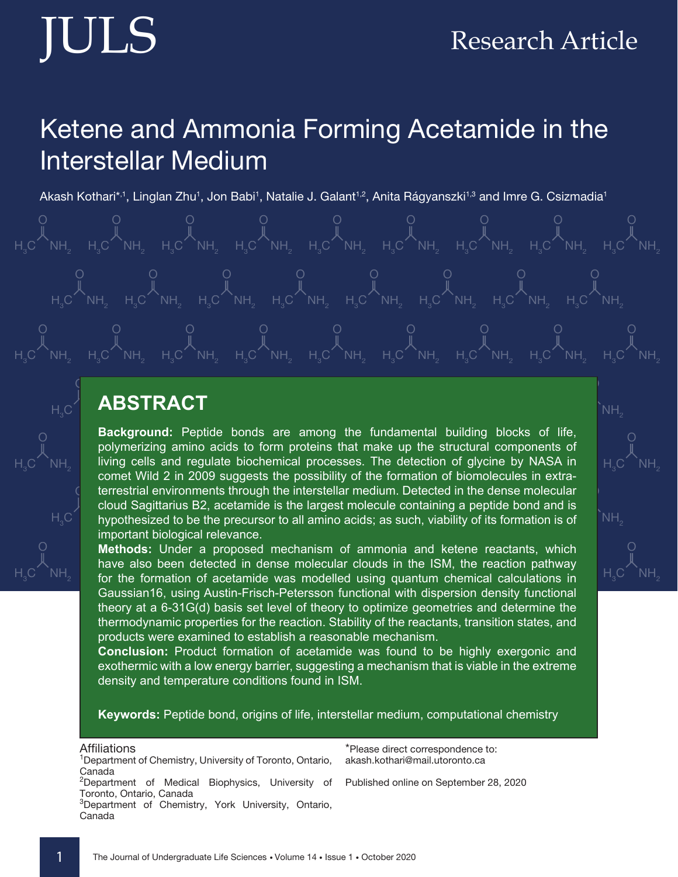# Research Article

# Ketene and Ammonia Forming Acetamide in the Interstellar Medium

Akash Kothari\*<sup>,1</sup>, Linglan Zhu<sup>1</sup>, Jon Babi<sup>1</sup>, Natalie J. Galant<sup>1,2</sup>, Anita Rágyanszki<sup>1,3</sup> and Imre G. Csizmadia<sup>1</sup>



#### $\circ$   $\blacksquare$ ABSTRACT

Background: Peptide bonds are among the fundamental building blocks of life, living cells and regulate biochemical processes. The detection of glycine by NASA in  $\degree$  hypothesized to be the precursor to all amino acids; as such, viability of its formation is of terrestrial environments through the interstellar medium. Detected in the dense molecular polymerizing amino acids to form proteins that make up the structural components of comet Wild 2 in 2009 suggests the possibility of the formation of biomolecules in extracloud Sagittarius B2, acetamide is the largest molecule containing a peptide bond and is important biological relevance.

Methods: Under a proposed mechanism of ammonia and ketene reactants, which H3 C 2009 SUCH SUCULUS IN SUITED HISTORISM. SIGNAL HIS TUM, THE TUM, THE TUM PARTITLE, have also been detected in dense molecular clouds in the ISM, the reaction pathway Gaussian16, using Austin-Frisch-Petersson functional with dispersion density functional theory at a 6-31G(d) basis set level of theory to optimize geometries and determine the thermodynamic properties for the reaction. Stability of the reactants, transition states, and products were examined to establish a reasonable mechanism.

**Conclusion:** Product formation of acetamide was found to be highly exergonic and exothermic with a low energy barrier, suggesting a mechanism that is viable in the extreme density and temperature conditions found in ISM.

**Keywords:** Peptide bond, origins of life, interstellar medium, computational chemistry

Affiliations <sup>1</sup> Department of Chemistry, University of Toronto, Ontario, Canada <sup>2</sup>Department of Medical Biophysics, University of Toronto, Ontario, Canada <sup>3</sup>Department of Chemistry, York University, Ontario, Canada \*Please direct correspondence to: akash.kothari@mail.utoronto.ca Published online on September 28, 2020 NH.



 $NH.$ 



 $H_{3}$ 

O

 $\overline{\mathsf{C}}$  NH $_2$ 

 $H_{3}$ 

O

 $\overline{\mathsf{C}}$  NH $_2$ 

 $\mathsf{C}$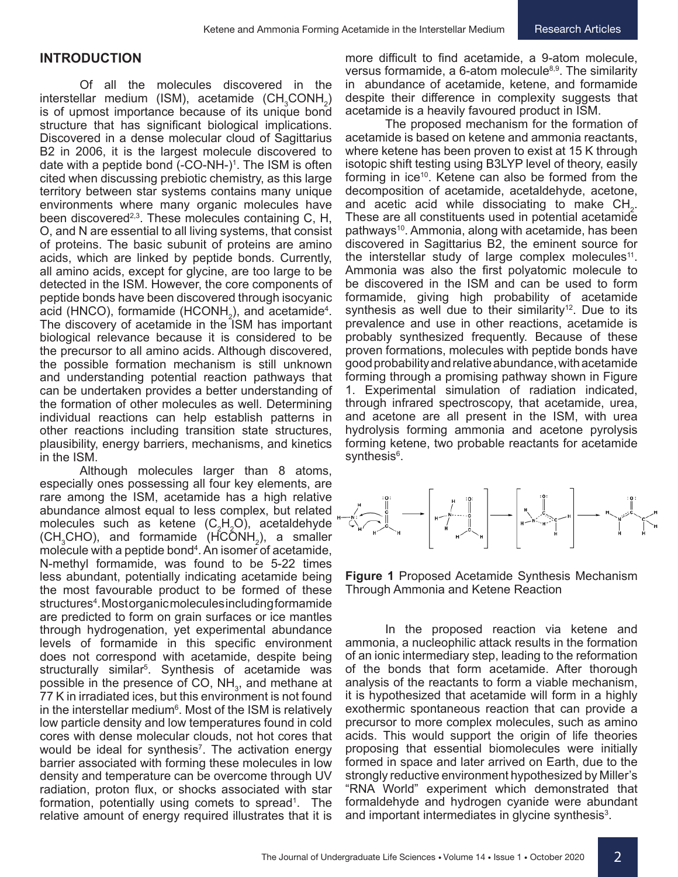### **INTRODUCTION**

Of all the molecules discovered in the  $\text{interstellar medium}$  (ISM), acetamide (CH<sub>3</sub>CONH<sub>2</sub>) is of upmost importance because of its unique bond structure that has significant biological implications. Discovered in a dense molecular cloud of Sagittarius B2 in 2006, it is the largest molecule discovered to date with a peptide bond (-CO-NH-)<sup>1</sup>. The ISM is often cited when discussing prebiotic chemistry, as this large territory between star systems contains many unique environments where many organic molecules have been discovered<sup>2,3</sup>. These molecules containing C, H, O, and N are essential to all living systems, that consist of proteins. The basic subunit of proteins are amino acids, which are linked by peptide bonds. Currently, all amino acids, except for glycine, are too large to be detected in the ISM. However, the core components of peptide bonds have been discovered through isocyanic acid (HNCO), formamide (HCONH<sub>2</sub>), and acetamide<sup>4</sup>. The discovery of acetamide in the ISM has important biological relevance because it is considered to be the precursor to all amino acids. Although discovered, the possible formation mechanism is still unknown and understanding potential reaction pathways that can be undertaken provides a better understanding of the formation of other molecules as well. Determining individual reactions can help establish patterns in other reactions including transition state structures, plausibility, energy barriers, mechanisms, and kinetics in the ISM.

Although molecules larger than 8 atoms, especially ones possessing all four key elements, are rare among the ISM, acetamide has a high relative abundance almost equal to less complex, but related molecules such as ketene (C<sub>2</sub>H<sub>2</sub>O), acetaldehyde  $(\text{CH}_3\text{CHO})$ , and formamide  $(\text{HCOMH}_2)$ , a smaller molecule with a peptide bond4 . An isomer of acetamide, N-methyl formamide, was found to be 5-22 times less abundant, potentially indicating acetamide being the most favourable product to be formed of these structures<sup>4</sup>. Mostorganic molecules including formamide are predicted to form on grain surfaces or ice mantles through hydrogenation, yet experimental abundance levels of formamide in this specific environment does not correspond with acetamide, despite being structurally similar5 . Synthesis of acetamide was possible in the presence of CO,  $NH_{3}$ , and methane at 77 K in irradiated ices, but this environment is not found in the interstellar medium $^{\rm 6}$ . Most of the ISM is relatively low particle density and low temperatures found in cold cores with dense molecular clouds, not hot cores that would be ideal for synthesis<sup>7</sup>. The activation energy barrier associated with forming these molecules in low density and temperature can be overcome through UV radiation, proton flux, or shocks associated with star formation, potentially using comets to spread<sup>1</sup>. The relative amount of energy required illustrates that it is

more difficult to find acetamide, a 9-atom molecule, versus formamide, a  $6$ -atom molecule<sup>8,9</sup>. The similarity in abundance of acetamide, ketene, and formamide despite their difference in complexity suggests that acetamide is a heavily favoured product in ISM.

Research Articles

The proposed mechanism for the formation of acetamide is based on ketene and ammonia reactants, where ketene has been proven to exist at 15 K through isotopic shift testing using B3LYP level of theory, easily forming in ice<sup>10</sup>. Ketene can also be formed from the decomposition of acetamide, acetaldehyde, acetone, and acetic acid while dissociating to make  $\text{CH}_{2}$ . These are all constituents used in potential acetamide pathways<sup>10</sup>. Ammonia, along with acetamide, has been discovered in Sagittarius B2, the eminent source for the interstellar study of large complex molecules<sup>11</sup>. Ammonia was also the first polyatomic molecule to be discovered in the ISM and can be used to form formamide, giving high probability of acetamide synthesis as well due to their similarity<sup>12</sup>. Due to its prevalence and use in other reactions, acetamide is probably synthesized frequently. Because of these proven formations, molecules with peptide bonds have good probability and relative abundance, with acetamide forming through a promising pathway shown in Figure 1. Experimental simulation of radiation indicated, through infrared spectroscopy, that acetamide, urea, and acetone are all present in the ISM, with urea hydrolysis forming ammonia and acetone pyrolysis forming ketene, two probable reactants for acetamide synthesis<sup>6</sup>.



**Figure 1** Proposed Acetamide Synthesis Mechanism Through Ammonia and Ketene Reaction

In the proposed reaction via ketene and ammonia, a nucleophilic attack results in the formation of an ionic intermediary step, leading to the reformation of the bonds that form acetamide. After thorough analysis of the reactants to form a viable mechanism, it is hypothesized that acetamide will form in a highly exothermic spontaneous reaction that can provide a precursor to more complex molecules, such as amino acids. This would support the origin of life theories proposing that essential biomolecules were initially formed in space and later arrived on Earth, due to the strongly reductive environment hypothesized by Miller's "RNA World" experiment which demonstrated that formaldehyde and hydrogen cyanide were abundant and important intermediates in glycine synthesis $^{\rm 3}$ .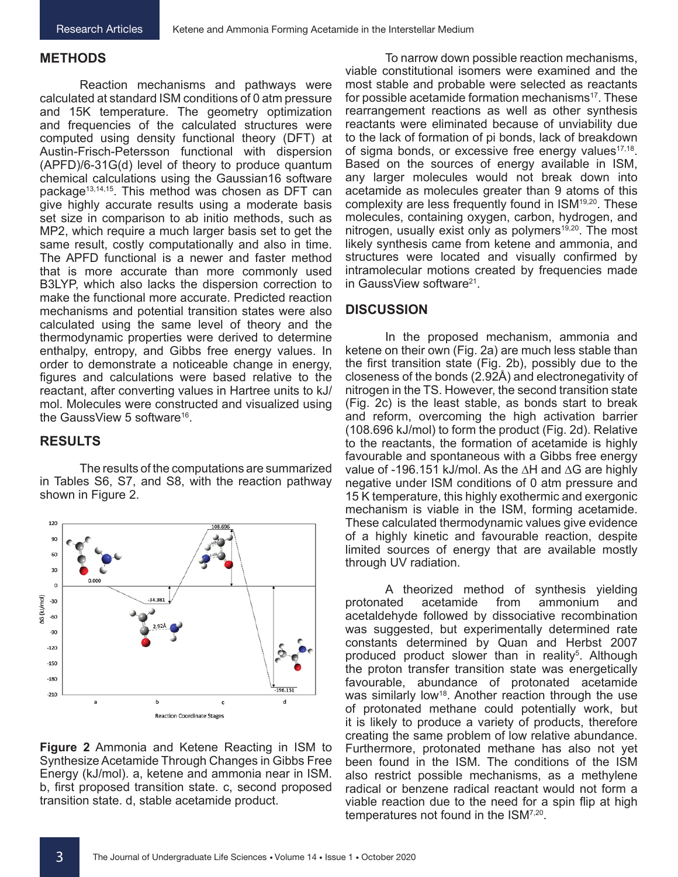#### **METHODS**

Reaction mechanisms and pathways were calculated at standard ISM conditions of 0 atm pressure and 15K temperature. The geometry optimization and frequencies of the calculated structures were computed using density functional theory (DFT) at Austin-Frisch-Petersson functional with dispersion (APFD)/6-31G(d) level of theory to produce quantum chemical calculations using the Gaussian16 software package13,14,15. This method was chosen as DFT can give highly accurate results using a moderate basis set size in comparison to ab initio methods, such as MP2, which require a much larger basis set to get the same result, costly computationally and also in time. The APFD functional is a newer and faster method that is more accurate than more commonly used B3LYP, which also lacks the dispersion correction to make the functional more accurate. Predicted reaction mechanisms and potential transition states were also calculated using the same level of theory and the thermodynamic properties were derived to determine enthalpy, entropy, and Gibbs free energy values. In order to demonstrate a noticeable change in energy, figures and calculations were based relative to the reactant, after converting values in Hartree units to kJ/ mol. Molecules were constructed and visualized using the GaussView 5 software<sup>16</sup>.

# **RESULTS**

The results of the computations are summarized in Tables S6, S7, and S8, with the reaction pathway shown in Figure 2.



**Figure 2** Ammonia and Ketene Reacting in ISM to Synthesize Acetamide Through Changes in Gibbs Free Energy (kJ/mol). a, ketene and ammonia near in ISM. b, first proposed transition state. c, second proposed transition state. d, stable acetamide product.

To narrow down possible reaction mechanisms, viable constitutional isomers were examined and the most stable and probable were selected as reactants for possible acetamide formation mechanisms<sup>17</sup>. These rearrangement reactions as well as other synthesis reactants were eliminated because of unviability due to the lack of formation of pi bonds, lack of breakdown of sigma bonds, or excessive free energy values $17,18$ . Based on the sources of energy available in ISM, any larger molecules would not break down into acetamide as molecules greater than 9 atoms of this complexity are less frequently found in ISM<sup>19,20</sup>. These molecules, containing oxygen, carbon, hydrogen, and nitrogen, usually exist only as polymers<sup>19,20</sup>. The most likely synthesis came from ketene and ammonia, and structures were located and visually confirmed by intramolecular motions created by frequencies made in GaussView software<sup>21</sup>.

## **DISCUSSION**

In the proposed mechanism, ammonia and ketene on their own (Fig. 2a) are much less stable than the first transition state (Fig. 2b), possibly due to the closeness of the bonds (2.92Å) and electronegativity of nitrogen in the TS. However, the second transition state (Fig. 2c) is the least stable, as bonds start to break and reform, overcoming the high activation barrier (108.696 kJ/mol) to form the product (Fig. 2d). Relative to the reactants, the formation of acetamide is highly favourable and spontaneous with a Gibbs free energy value of -196.151 kJ/mol. As the ∆H and ∆G are highly negative under ISM conditions of 0 atm pressure and 15 K temperature, this highly exothermic and exergonic mechanism is viable in the ISM, forming acetamide. These calculated thermodynamic values give evidence of a highly kinetic and favourable reaction, despite limited sources of energy that are available mostly through UV radiation.

A theorized method of synthesis yielding protonated acetamide from ammonium and acetaldehyde followed by dissociative recombination was suggested, but experimentally determined rate constants determined by Quan and Herbst 2007 produced product slower than in reality<sup>5</sup>. Although the proton transfer transition state was energetically favourable, abundance of protonated acetamide was similarly low<sup>18</sup>. Another reaction through the use of protonated methane could potentially work, but it is likely to produce a variety of products, therefore creating the same problem of low relative abundance. Furthermore, protonated methane has also not yet been found in the ISM. The conditions of the ISM also restrict possible mechanisms, as a methylene radical or benzene radical reactant would not form a viable reaction due to the need for a spin flip at high temperatures not found in the ISM7,20.